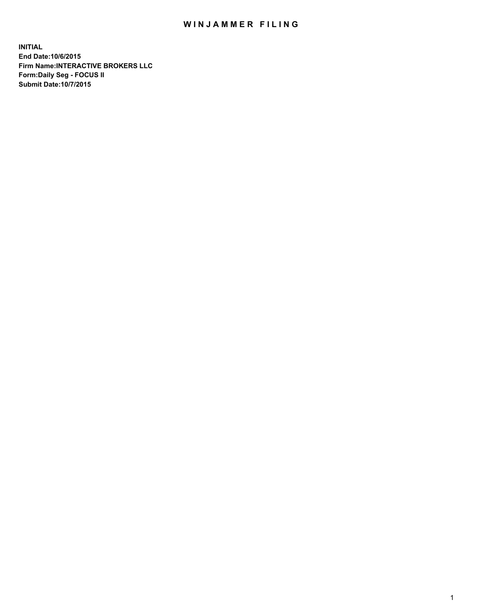## WIN JAMMER FILING

**INITIAL End Date:10/6/2015 Firm Name:INTERACTIVE BROKERS LLC Form:Daily Seg - FOCUS II Submit Date:10/7/2015**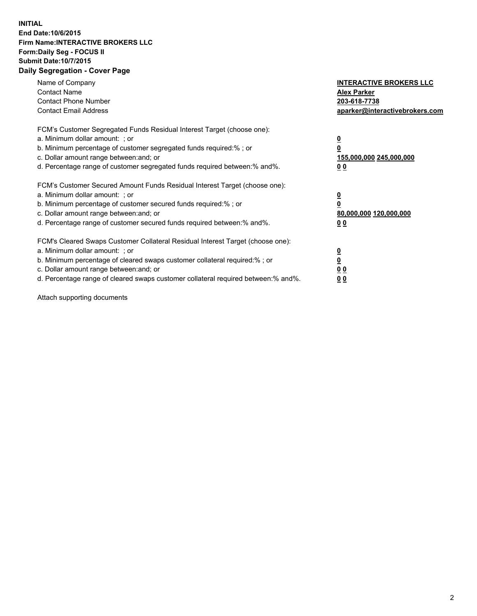## **INITIAL End Date:10/6/2015 Firm Name:INTERACTIVE BROKERS LLC Form:Daily Seg - FOCUS II Submit Date:10/7/2015 Daily Segregation - Cover Page**

| Name of Company<br><b>Contact Name</b><br><b>Contact Phone Number</b><br><b>Contact Email Address</b>                                                                                                                                                                                                                         | <b>INTERACTIVE BROKERS LLC</b><br><b>Alex Parker</b><br>203-618-7738<br>aparker@interactivebrokers.com |
|-------------------------------------------------------------------------------------------------------------------------------------------------------------------------------------------------------------------------------------------------------------------------------------------------------------------------------|--------------------------------------------------------------------------------------------------------|
| FCM's Customer Segregated Funds Residual Interest Target (choose one):<br>a. Minimum dollar amount: ; or<br>b. Minimum percentage of customer segregated funds required:% ; or<br>c. Dollar amount range between: and; or<br>d. Percentage range of customer segregated funds required between:% and%.                        | <u>0</u><br>155,000,000 245,000,000<br>0 <sub>0</sub>                                                  |
| FCM's Customer Secured Amount Funds Residual Interest Target (choose one):<br>a. Minimum dollar amount: ; or<br>b. Minimum percentage of customer secured funds required:%; or<br>c. Dollar amount range between: and; or<br>d. Percentage range of customer secured funds required between: % and %.                         | <u>0</u><br>80,000,000 120,000,000<br><u>00</u>                                                        |
| FCM's Cleared Swaps Customer Collateral Residual Interest Target (choose one):<br>a. Minimum dollar amount: ; or<br>b. Minimum percentage of cleared swaps customer collateral required:%; or<br>c. Dollar amount range between: and; or<br>d. Percentage range of cleared swaps customer collateral required between:% and%. | <u>0</u><br>0 <sub>0</sub><br>0 <sub>0</sub>                                                           |

Attach supporting documents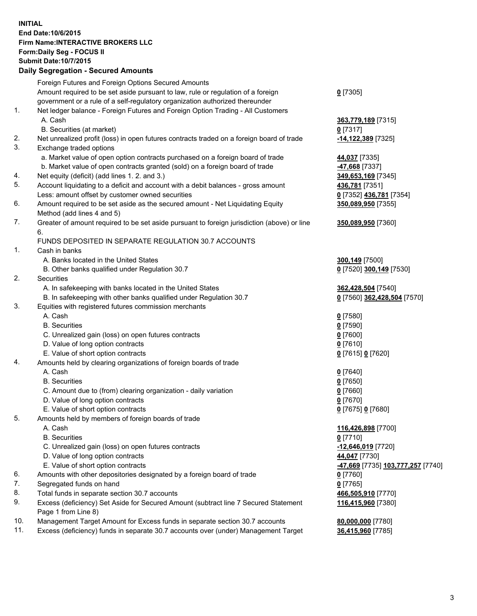## **INITIAL End Date:10/6/2015 Firm Name:INTERACTIVE BROKERS LLC Form:Daily Seg - FOCUS II Submit Date:10/7/2015 Daily Segregation - Secured Amounts**

|     | Daily Ocglegation - Occarea Anioants                                                                       |                                                |
|-----|------------------------------------------------------------------------------------------------------------|------------------------------------------------|
|     | Foreign Futures and Foreign Options Secured Amounts                                                        |                                                |
|     | Amount required to be set aside pursuant to law, rule or regulation of a foreign                           | $0$ [7305]                                     |
|     | government or a rule of a self-regulatory organization authorized thereunder                               |                                                |
| 1.  | Net ledger balance - Foreign Futures and Foreign Option Trading - All Customers                            |                                                |
|     | A. Cash                                                                                                    | 363,779,189 [7315]                             |
|     | B. Securities (at market)                                                                                  | $0$ [7317]                                     |
| 2.  | Net unrealized profit (loss) in open futures contracts traded on a foreign board of trade                  | -14,122,389 [7325]                             |
| 3.  | Exchange traded options                                                                                    |                                                |
|     | a. Market value of open option contracts purchased on a foreign board of trade                             | 44,037 [7335]                                  |
|     | b. Market value of open contracts granted (sold) on a foreign board of trade                               | -47,668 [7337]                                 |
| 4.  | Net equity (deficit) (add lines 1.2. and 3.)                                                               | 349,653,169 [7345]                             |
| 5.  | Account liquidating to a deficit and account with a debit balances - gross amount                          | 436,781 [7351]                                 |
|     | Less: amount offset by customer owned securities                                                           | 0 [7352] 436,781 [7354]                        |
| 6.  | Amount required to be set aside as the secured amount - Net Liquidating Equity                             | 350,089,950 [7355]                             |
|     | Method (add lines 4 and 5)                                                                                 |                                                |
| 7.  | Greater of amount required to be set aside pursuant to foreign jurisdiction (above) or line                | 350,089,950 [7360]                             |
|     | 6.                                                                                                         |                                                |
|     | FUNDS DEPOSITED IN SEPARATE REGULATION 30.7 ACCOUNTS                                                       |                                                |
| 1.  | Cash in banks                                                                                              |                                                |
|     | A. Banks located in the United States                                                                      | 300,149 [7500]                                 |
|     | B. Other banks qualified under Regulation 30.7                                                             | 0 [7520] 300,149 [7530]                        |
| 2.  | Securities                                                                                                 |                                                |
|     | A. In safekeeping with banks located in the United States                                                  | 362,428,504 [7540]                             |
|     | B. In safekeeping with other banks qualified under Regulation 30.7                                         | 0 [7560] 362,428,504 [7570]                    |
| 3.  | Equities with registered futures commission merchants                                                      |                                                |
|     | A. Cash                                                                                                    | $0$ [7580]                                     |
|     | <b>B.</b> Securities                                                                                       | $0$ [7590]                                     |
|     | C. Unrealized gain (loss) on open futures contracts                                                        | $0$ [7600]                                     |
|     | D. Value of long option contracts                                                                          | $0$ [7610]                                     |
|     | E. Value of short option contracts                                                                         | 0 [7615] 0 [7620]                              |
| 4.  | Amounts held by clearing organizations of foreign boards of trade                                          |                                                |
|     | A. Cash                                                                                                    | $0$ [7640]                                     |
|     | <b>B.</b> Securities                                                                                       | $0$ [7650]                                     |
|     | C. Amount due to (from) clearing organization - daily variation                                            | $0$ [7660]                                     |
|     | D. Value of long option contracts                                                                          | $0$ [7670]                                     |
|     | E. Value of short option contracts                                                                         | 0 [7675] 0 [7680]                              |
| 5.  | Amounts held by members of foreign boards of trade                                                         |                                                |
|     | A. Cash                                                                                                    | 116,426,898 [7700]                             |
|     | <b>B.</b> Securities                                                                                       | $0$ [7710]                                     |
|     | C. Unrealized gain (loss) on open futures contracts                                                        | -12,646,019 [7720]                             |
|     | D. Value of long option contracts                                                                          | 44,047 [7730]                                  |
|     | E. Value of short option contracts                                                                         | <mark>-47,669</mark> [7735] 103,777,257 [7740] |
| 6.  | Amounts with other depositories designated by a foreign board of trade                                     | 0 [7760]                                       |
| 7.  | Segregated funds on hand                                                                                   | $0$ [7765]                                     |
| 8.  | Total funds in separate section 30.7 accounts                                                              | 466,505,910 [7770]                             |
| 9.  | Excess (deficiency) Set Aside for Secured Amount (subtract line 7 Secured Statement<br>Page 1 from Line 8) | 116,415,960 [7380]                             |
| 10. | Management Target Amount for Excess funds in separate section 30.7 accounts                                | 80,000,000 [7780]                              |
| 11. | Excess (deficiency) funds in separate 30.7 accounts over (under) Management Target                         | 36,415,960 [7785]                              |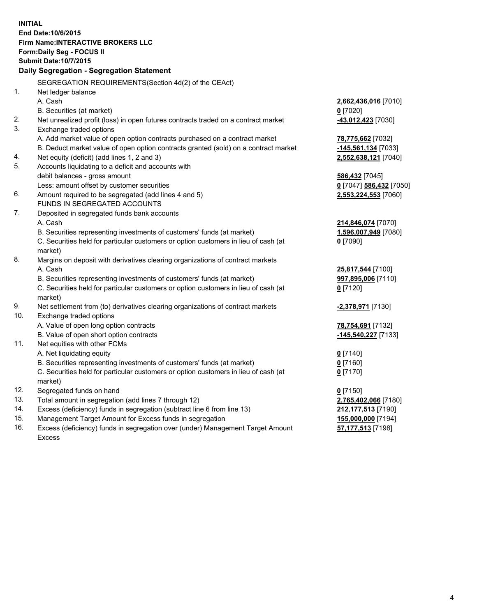**INITIAL End Date:10/6/2015 Firm Name:INTERACTIVE BROKERS LLC Form:Daily Seg - FOCUS II Submit Date:10/7/2015 Daily Segregation - Segregation Statement** SEGREGATION REQUIREMENTS(Section 4d(2) of the CEAct) 1. Net ledger balance A. Cash **2,662,436,016** [7010] B. Securities (at market) **0** [7020] 2. Net unrealized profit (loss) in open futures contracts traded on a contract market **-43,012,423** [7030] 3. Exchange traded options A. Add market value of open option contracts purchased on a contract market **78,775,662** [7032] B. Deduct market value of open option contracts granted (sold) on a contract market **-145,561,134** [7033] 4. Net equity (deficit) (add lines 1, 2 and 3) **2,552,638,121** [7040] 5. Accounts liquidating to a deficit and accounts with debit balances - gross amount **586,432** [7045] Less: amount offset by customer securities **0** [7047] **586,432** [7050] 6. Amount required to be segregated (add lines 4 and 5) **2,553,224,553** [7060] FUNDS IN SEGREGATED ACCOUNTS 7. Deposited in segregated funds bank accounts A. Cash **214,846,074** [7070] B. Securities representing investments of customers' funds (at market) **1,596,007,949** [7080] C. Securities held for particular customers or option customers in lieu of cash (at market) **0** [7090] 8. Margins on deposit with derivatives clearing organizations of contract markets A. Cash **25,817,544** [7100] B. Securities representing investments of customers' funds (at market) **997,895,006** [7110] C. Securities held for particular customers or option customers in lieu of cash (at market) **0** [7120] 9. Net settlement from (to) derivatives clearing organizations of contract markets **-2,378,971** [7130] 10. Exchange traded options A. Value of open long option contracts **78,754,691** [7132] B. Value of open short option contracts **-145,540,227** [7133] 11. Net equities with other FCMs A. Net liquidating equity **0** [7140] B. Securities representing investments of customers' funds (at market) **0** [7160] C. Securities held for particular customers or option customers in lieu of cash (at market) **0** [7170] 12. Segregated funds on hand **0** [7150] 13. Total amount in segregation (add lines 7 through 12) **2,765,402,066** [7180] 14. Excess (deficiency) funds in segregation (subtract line 6 from line 13) **212,177,513** [7190] 15. Management Target Amount for Excess funds in segregation **155,000,000** [7194] **57,177,513** [7198]

16. Excess (deficiency) funds in segregation over (under) Management Target Amount Excess